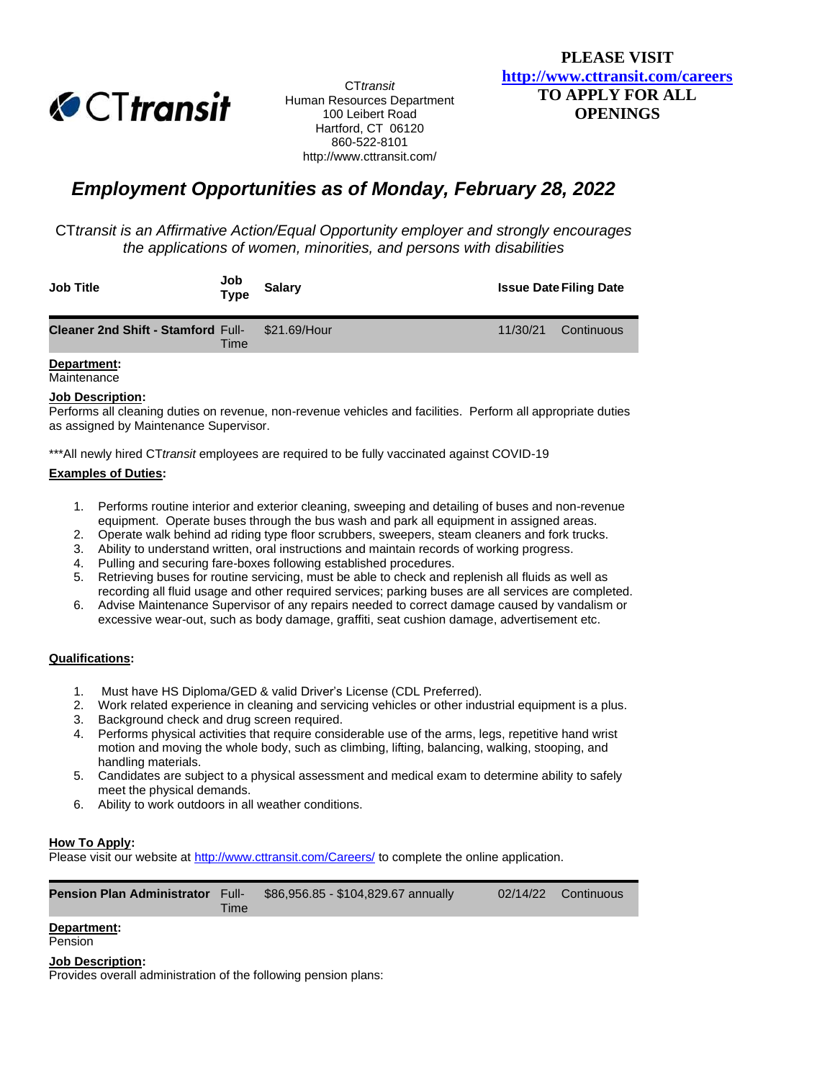

CT*transit* Human Resources Department 100 Leibert Road Hartford, CT 06120 860-522-8101 http://www.cttransit.com/

# *Employment Opportunities as of Monday, February 28, 2022*

CT*transit is an Affirmative Action/Equal Opportunity employer and strongly encourages the applications of women, minorities, and persons with disabilities*

| <b>Job Title</b>                                       | Job<br><b>Type</b> | <b>Salarv</b> |          | <b>Issue Date Filing Date</b> |
|--------------------------------------------------------|--------------------|---------------|----------|-------------------------------|
| <b>Cleaner 2nd Shift - Stamford Full- \$21.69/Hour</b> | Time               |               | 11/30/21 | Continuous                    |

#### **Department: Maintenance**

# **Job Description:**

Performs all cleaning duties on revenue, non-revenue vehicles and facilities. Perform all appropriate duties as assigned by Maintenance Supervisor.

\*\*\*All newly hired CT*transit* employees are required to be fully vaccinated against COVID-19

## **Examples of Duties:**

- 1. Performs routine interior and exterior cleaning, sweeping and detailing of buses and non-revenue equipment. Operate buses through the bus wash and park all equipment in assigned areas.
- 2. Operate walk behind ad riding type floor scrubbers, sweepers, steam cleaners and fork trucks.
- 3. Ability to understand written, oral instructions and maintain records of working progress.
- 4. Pulling and securing fare-boxes following established procedures.
- 5. Retrieving buses for routine servicing, must be able to check and replenish all fluids as well as recording all fluid usage and other required services; parking buses are all services are completed.
- 6. Advise Maintenance Supervisor of any repairs needed to correct damage caused by vandalism or excessive wear-out, such as body damage, graffiti, seat cushion damage, advertisement etc.

# **Qualifications:**

- 1. Must have HS Diploma/GED & valid Driver's License (CDL Preferred).
- 2. Work related experience in cleaning and servicing vehicles or other industrial equipment is a plus.
- 3. Background check and drug screen required.
- 4. Performs physical activities that require considerable use of the arms, legs, repetitive hand wrist motion and moving the whole body, such as climbing, lifting, balancing, walking, stooping, and handling materials.
- 5. Candidates are subject to a physical assessment and medical exam to determine ability to safely meet the physical demands.
- 6. Ability to work outdoors in all weather conditions.

# **How To Apply:**

Please visit our website a[t http://www.cttransit.com/Careers/](http://www.cttransit.com/Careers/) to complete the online application.

**Pension Plan Administrator** Full-Time \$86,956.85 - \$104,829.67 annually 02/14/22 Continuous

## **Department:**

#### Pension

## **Job Description:**

Provides overall administration of the following pension plans: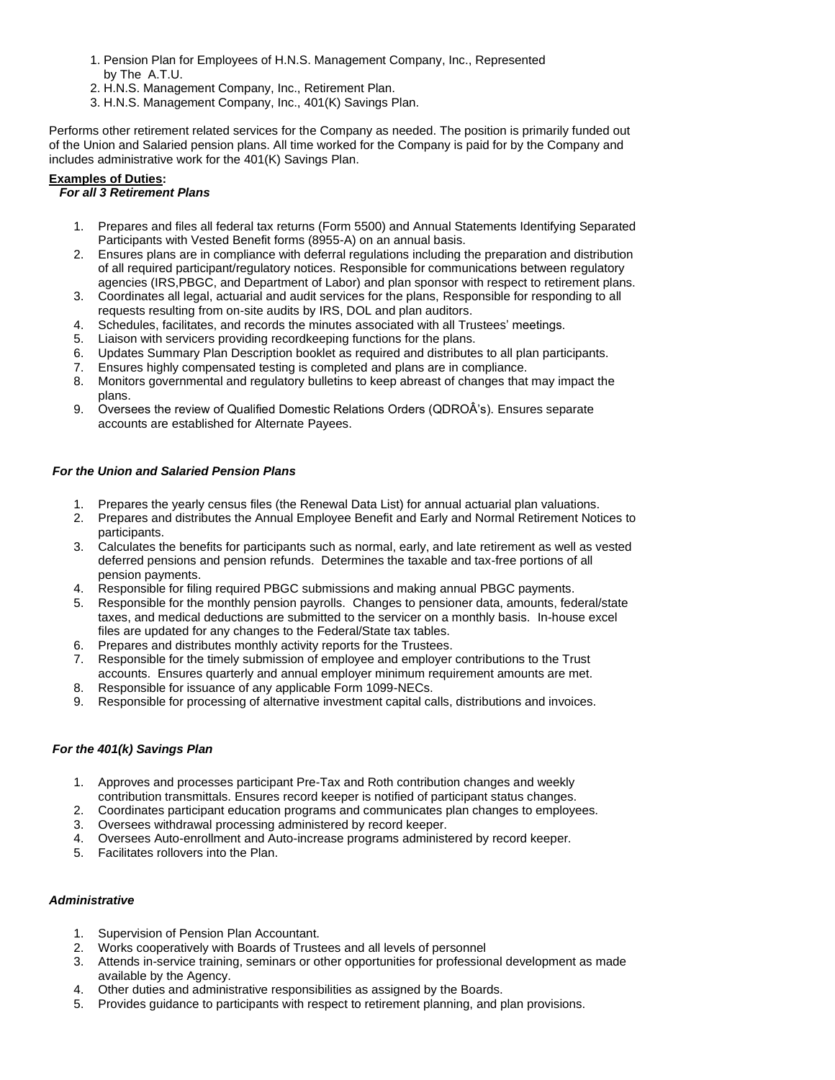- 1. Pension Plan for Employees of H.N.S. Management Company, Inc., Represented by The A.T.U.
- 2. H.N.S. Management Company, Inc., Retirement Plan.
- 3. H.N.S. Management Company, Inc., 401(K) Savings Plan.

Performs other retirement related services for the Company as needed. The position is primarily funded out of the Union and Salaried pension plans. All time worked for the Company is paid for by the Company and includes administrative work for the 401(K) Savings Plan.

## **Examples of Duties:**

## *For all 3 Retirement Plans*

- 1. Prepares and files all federal tax returns (Form 5500) and Annual Statements Identifying Separated Participants with Vested Benefit forms (8955-A) on an annual basis.
- 2. Ensures plans are in compliance with deferral regulations including the preparation and distribution of all required participant/regulatory notices. Responsible for communications between regulatory agencies (IRS,PBGC, and Department of Labor) and plan sponsor with respect to retirement plans.
- 3. Coordinates all legal, actuarial and audit services for the plans, Responsible for responding to all requests resulting from on-site audits by IRS, DOL and plan auditors.
- 4. Schedules, facilitates, and records the minutes associated with all Trustees' meetings.
- 5. Liaison with servicers providing recordkeeping functions for the plans.
- 6. Updates Summary Plan Description booklet as required and distributes to all plan participants.
- 7. Ensures highly compensated testing is completed and plans are in compliance.
- 8. Monitors governmental and regulatory bulletins to keep abreast of changes that may impact the plans.
- 9. Oversees the review of Qualified Domestic Relations Orders (QDROÂ's). Ensures separate accounts are established for Alternate Payees.

## *For the Union and Salaried Pension Plans*

- 1. Prepares the yearly census files (the Renewal Data List) for annual actuarial plan valuations.
- 2. Prepares and distributes the Annual Employee Benefit and Early and Normal Retirement Notices to participants.
- 3. Calculates the benefits for participants such as normal, early, and late retirement as well as vested deferred pensions and pension refunds. Determines the taxable and tax-free portions of all pension payments.
- 4. Responsible for filing required PBGC submissions and making annual PBGC payments.
- 5. Responsible for the monthly pension payrolls. Changes to pensioner data, amounts, federal/state taxes, and medical deductions are submitted to the servicer on a monthly basis. In-house excel files are updated for any changes to the Federal/State tax tables.
- 6. Prepares and distributes monthly activity reports for the Trustees.
- 7. Responsible for the timely submission of employee and employer contributions to the Trust accounts. Ensures quarterly and annual employer minimum requirement amounts are met.
- 8. Responsible for issuance of any applicable Form 1099-NECs.
- 9. Responsible for processing of alternative investment capital calls, distributions and invoices.

## *For the 401(k) Savings Plan*

- 1. Approves and processes participant Pre-Tax and Roth contribution changes and weekly contribution transmittals. Ensures record keeper is notified of participant status changes.
- 2. Coordinates participant education programs and communicates plan changes to employees.
- 3. Oversees withdrawal processing administered by record keeper.
- 4. Oversees Auto-enrollment and Auto-increase programs administered by record keeper.
- 5. Facilitates rollovers into the Plan.

## *Administrative*

- 1. Supervision of Pension Plan Accountant.
- 2. Works cooperatively with Boards of Trustees and all levels of personnel
- 3. Attends in-service training, seminars or other opportunities for professional development as made available by the Agency.
- 4. Other duties and administrative responsibilities as assigned by the Boards.
- 5. Provides guidance to participants with respect to retirement planning, and plan provisions.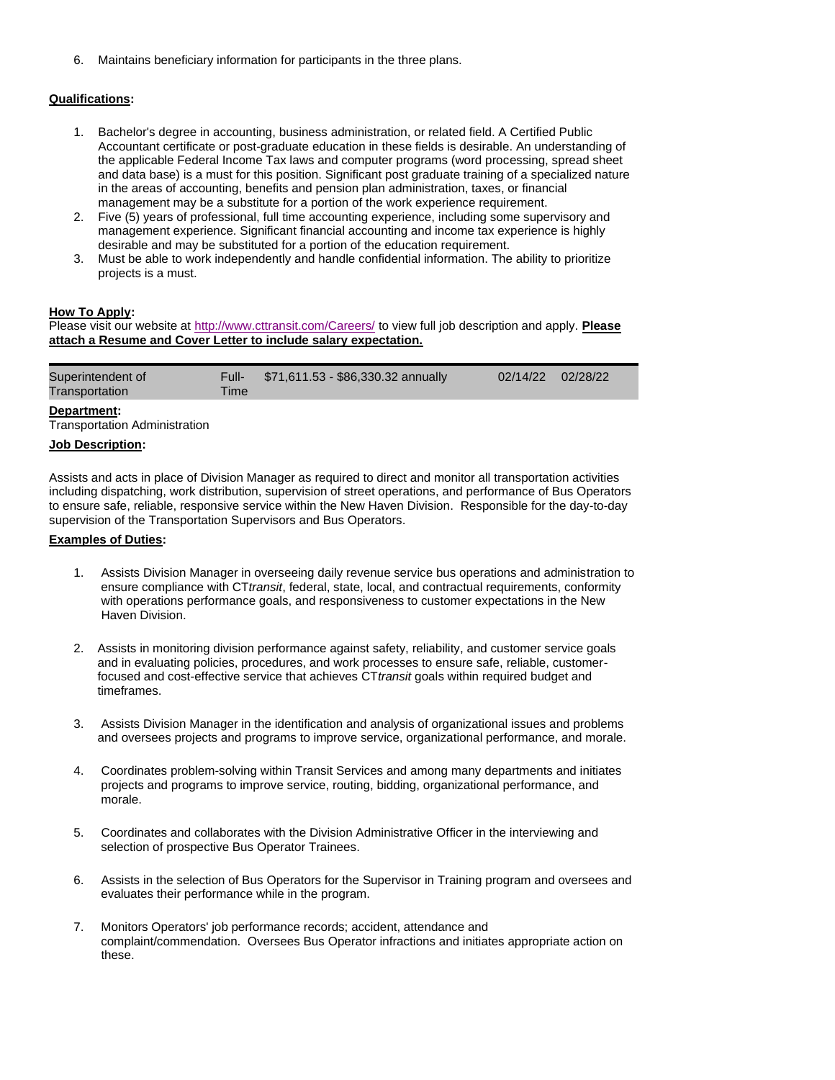6. Maintains beneficiary information for participants in the three plans.

## **Qualifications:**

- 1. Bachelor's degree in accounting, business administration, or related field. A Certified Public Accountant certificate or post-graduate education in these fields is desirable. An understanding of the applicable Federal Income Tax laws and computer programs (word processing, spread sheet and data base) is a must for this position. Significant post graduate training of a specialized nature in the areas of accounting, benefits and pension plan administration, taxes, or financial management may be a substitute for a portion of the work experience requirement.
- 2. Five (5) years of professional, full time accounting experience, including some supervisory and management experience. Significant financial accounting and income tax experience is highly desirable and may be substituted for a portion of the education requirement.
- 3. Must be able to work independently and handle confidential information. The ability to prioritize projects is a must.

## **How To Apply:**

Please visit our website at <http://www.cttransit.com/Careers/> to view full job description and apply. **Please attach a Resume and Cover Letter to include salary expectation.**

| Superintendent of<br>Transportation | Time | Full- \$71,611.53 - \$86,330.32 annually | 02/14/22 02/28/22 |  |
|-------------------------------------|------|------------------------------------------|-------------------|--|
|                                     |      |                                          |                   |  |

**Department:**

Transportation Administration

## **Job Description:**

Assists and acts in place of Division Manager as required to direct and monitor all transportation activities including dispatching, work distribution, supervision of street operations, and performance of Bus Operators to ensure safe, reliable, responsive service within the New Haven Division. Responsible for the day-to-day supervision of the Transportation Supervisors and Bus Operators.

#### **Examples of Duties:**

- 1. Assists Division Manager in overseeing daily revenue service bus operations and administration to ensure compliance with CT*transit*, federal, state, local, and contractual requirements, conformity with operations performance goals, and responsiveness to customer expectations in the New Haven Division.
- 2. Assists in monitoring division performance against safety, reliability, and customer service goals and in evaluating policies, procedures, and work processes to ensure safe, reliable, customer focused and cost-effective service that achieves CT*transit* goals within required budget and timeframes.
- 3. Assists Division Manager in the identification and analysis of organizational issues and problems and oversees projects and programs to improve service, organizational performance, and morale.
- 4. Coordinates problem-solving within Transit Services and among many departments and initiates projects and programs to improve service, routing, bidding, organizational performance, and morale.
- 5. Coordinates and collaborates with the Division Administrative Officer in the interviewing and selection of prospective Bus Operator Trainees.
- 6. Assists in the selection of Bus Operators for the Supervisor in Training program and oversees and evaluates their performance while in the program.
- 7. Monitors Operators' job performance records; accident, attendance and complaint/commendation. Oversees Bus Operator infractions and initiates appropriate action on these.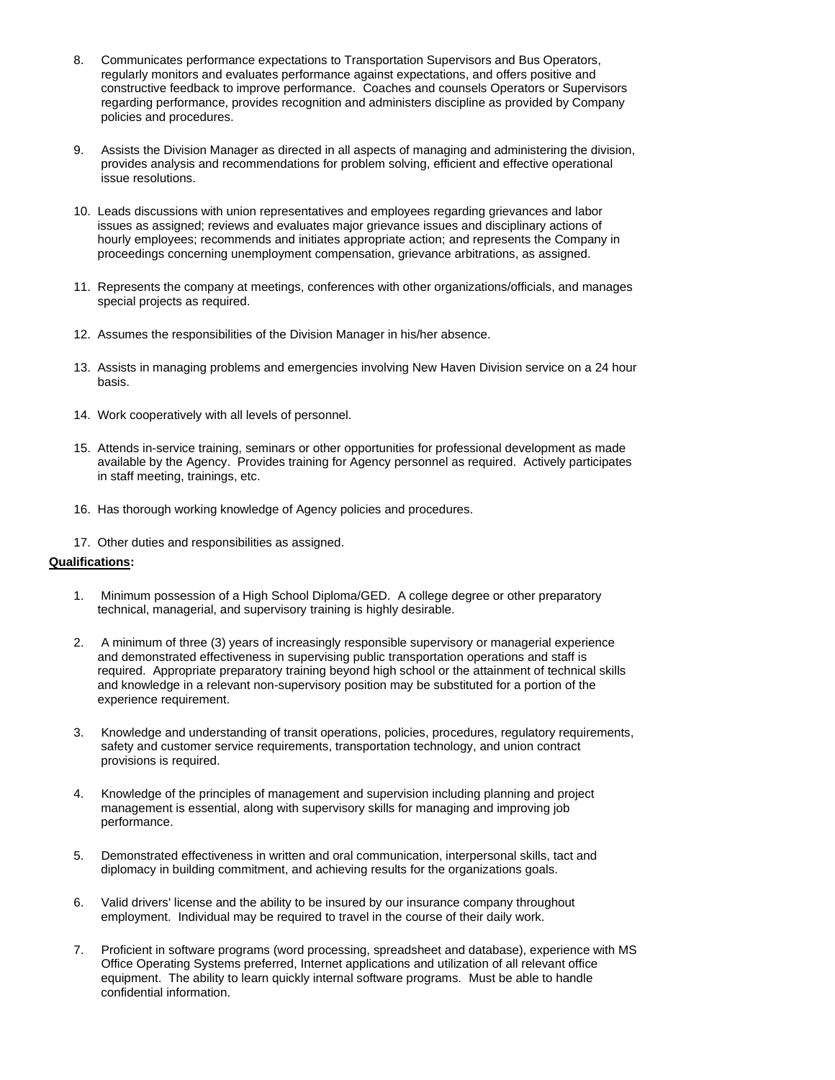- 8. Communicates performance expectations to Transportation Supervisors and Bus Operators, regularly monitors and evaluates performance against expectations, and offers positive and constructive feedback to improve performance. Coaches and counsels Operators or Supervisors regarding performance, provides recognition and administers discipline as provided by Company policies and procedures.
- 9. Assists the Division Manager as directed in all aspects of managing and administering the division, provides analysis and recommendations for problem solving, efficient and effective operational issue resolutions.
- 10. Leads discussions with union representatives and employees regarding grievances and labor issues as assigned; reviews and evaluates major grievance issues and disciplinary actions of hourly employees; recommends and initiates appropriate action; and represents the Company in proceedings concerning unemployment compensation, grievance arbitrations, as assigned.
- 11. Represents the company at meetings, conferences with other organizations/officials, and manages special projects as required.
- 12. Assumes the responsibilities of the Division Manager in his/her absence.
- 13. Assists in managing problems and emergencies involving New Haven Division service on a 24 hour basis.
- 14. Work cooperatively with all levels of personnel.
- 15. Attends in-service training, seminars or other opportunities for professional development as made available by the Agency. Provides training for Agency personnel as required. Actively participates in staff meeting, trainings, etc.
- 16. Has thorough working knowledge of Agency policies and procedures.
- 17. Other duties and responsibilities as assigned.

## **Qualifications:**

- 1. Minimum possession of a High School Diploma/GED. A college degree or other preparatory technical, managerial, and supervisory training is highly desirable.
- 2. A minimum of three (3) years of increasingly responsible supervisory or managerial experience and demonstrated effectiveness in supervising public transportation operations and staff is required. Appropriate preparatory training beyond high school or the attainment of technical skills and knowledge in a relevant non-supervisory position may be substituted for a portion of the experience requirement.
- 3. Knowledge and understanding of transit operations, policies, procedures, regulatory requirements, safety and customer service requirements, transportation technology, and union contract provisions is required.
- 4. Knowledge of the principles of management and supervision including planning and project management is essential, along with supervisory skills for managing and improving job performance.
- 5. Demonstrated effectiveness in written and oral communication, interpersonal skills, tact and diplomacy in building commitment, and achieving results for the organizations goals.
- 6. Valid drivers' license and the ability to be insured by our insurance company throughout employment. Individual may be required to travel in the course of their daily work.
- 7. Proficient in software programs (word processing, spreadsheet and database), experience with MS Office Operating Systems preferred, Internet applications and utilization of all relevant office equipment. The ability to learn quickly internal software programs. Must be able to handle confidential information.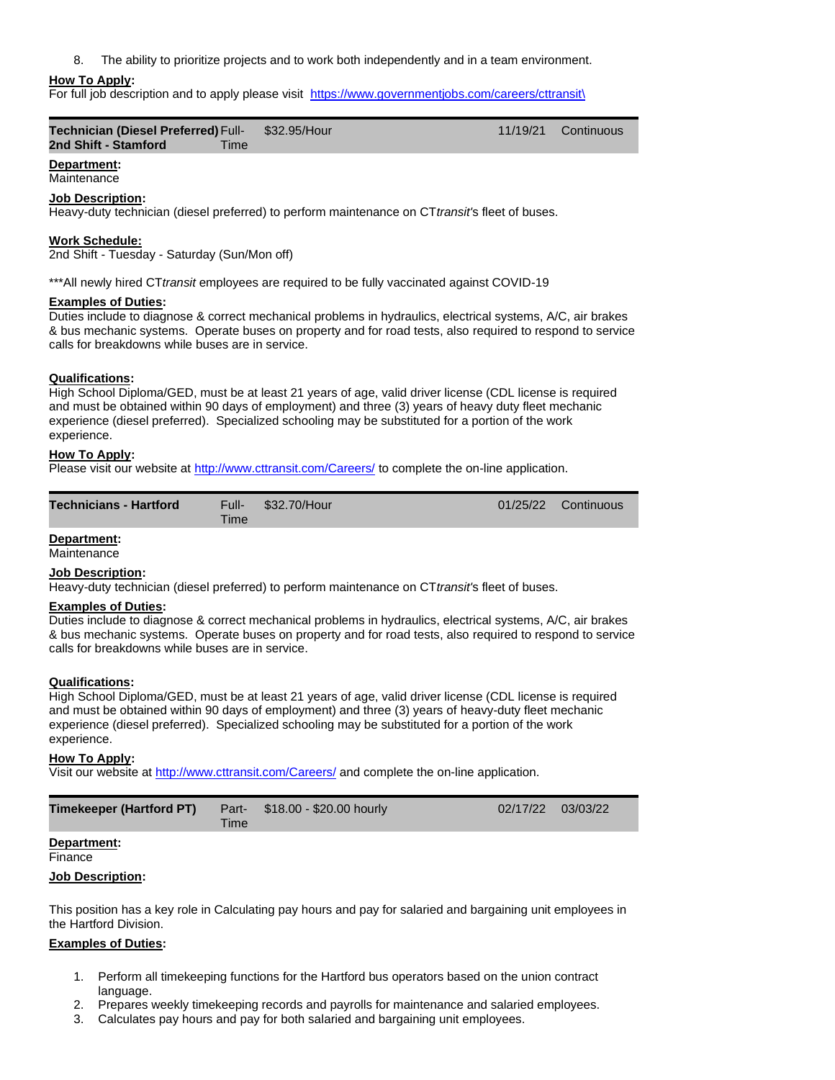8. The ability to prioritize projects and to work both independently and in a team environment.

## **How To Apply:**

For full job description and to apply please visit [https://www.governmentjobs.com/careers/cttransit\](https://www.governmentjobs.com/careers/cttransit/)

| <b>Technician (Diesel Preferred) Full-</b> | \$32.95/Hour | 11/19/21 Continuous |
|--------------------------------------------|--------------|---------------------|
| 2nd Shift - Stamford<br>Time               |              |                     |

## **Department:**

# **Maintenance**

# **Job Description:**

Heavy-duty technician (diesel preferred) to perform maintenance on CT*transit'*s fleet of buses.

## **Work Schedule:**

2nd Shift - Tuesday - Saturday (Sun/Mon off)

\*\*\*All newly hired CT*transit* employees are required to be fully vaccinated against COVID-19

#### **Examples of Duties:**

Duties include to diagnose & correct mechanical problems in hydraulics, electrical systems, A/C, air brakes & bus mechanic systems. Operate buses on property and for road tests, also required to respond to service calls for breakdowns while buses are in service.

#### **Qualifications:**

High School Diploma/GED, must be at least 21 years of age, valid driver license (CDL license is required and must be obtained within 90 days of employment) and three (3) years of heavy duty fleet mechanic experience (diesel preferred). Specialized schooling may be substituted for a portion of the work experience.

## **How To Apply:**

Please visit our website a[t http://www.cttransit.com/Careers/](http://www.cttransit.com/Careers/) to complete the on-line application.

| <b>Technicians - Hartford</b> | <b>Time</b> | Full- \$32.70/Hour | 01/25/22 Continuous |
|-------------------------------|-------------|--------------------|---------------------|
|                               |             |                    |                     |

## **Department:**

**Maintenance** 

#### **Job Description:**

Heavy-duty technician (diesel preferred) to perform maintenance on CT*transit'*s fleet of buses.

#### **Examples of Duties:**

Duties include to diagnose & correct mechanical problems in hydraulics, electrical systems, A/C, air brakes & bus mechanic systems. Operate buses on property and for road tests, also required to respond to service calls for breakdowns while buses are in service.

#### **Qualifications:**

High School Diploma/GED, must be at least 21 years of age, valid driver license (CDL license is required and must be obtained within 90 days of employment) and three (3) years of heavy-duty fleet mechanic experience (diesel preferred). Specialized schooling may be substituted for a portion of the work experience.

#### **How To Apply:**

Visit our website at<http://www.cttransit.com/Careers/> and complete the on-line application.

| <b>Timekeeper (Hartford PT)</b> | Time | Part- \$18.00 - \$20.00 hourly | 02/17/22 03/03/22 |  |
|---------------------------------|------|--------------------------------|-------------------|--|
|---------------------------------|------|--------------------------------|-------------------|--|

#### **Department:**

Finance

#### **Job Description:**

This position has a key role in Calculating pay hours and pay for salaried and bargaining unit employees in the Hartford Division.

## **Examples of Duties:**

- 1. Perform all timekeeping functions for the Hartford bus operators based on the union contract language.
- 2. Prepares weekly timekeeping records and payrolls for maintenance and salaried employees.
- 3. Calculates pay hours and pay for both salaried and bargaining unit employees.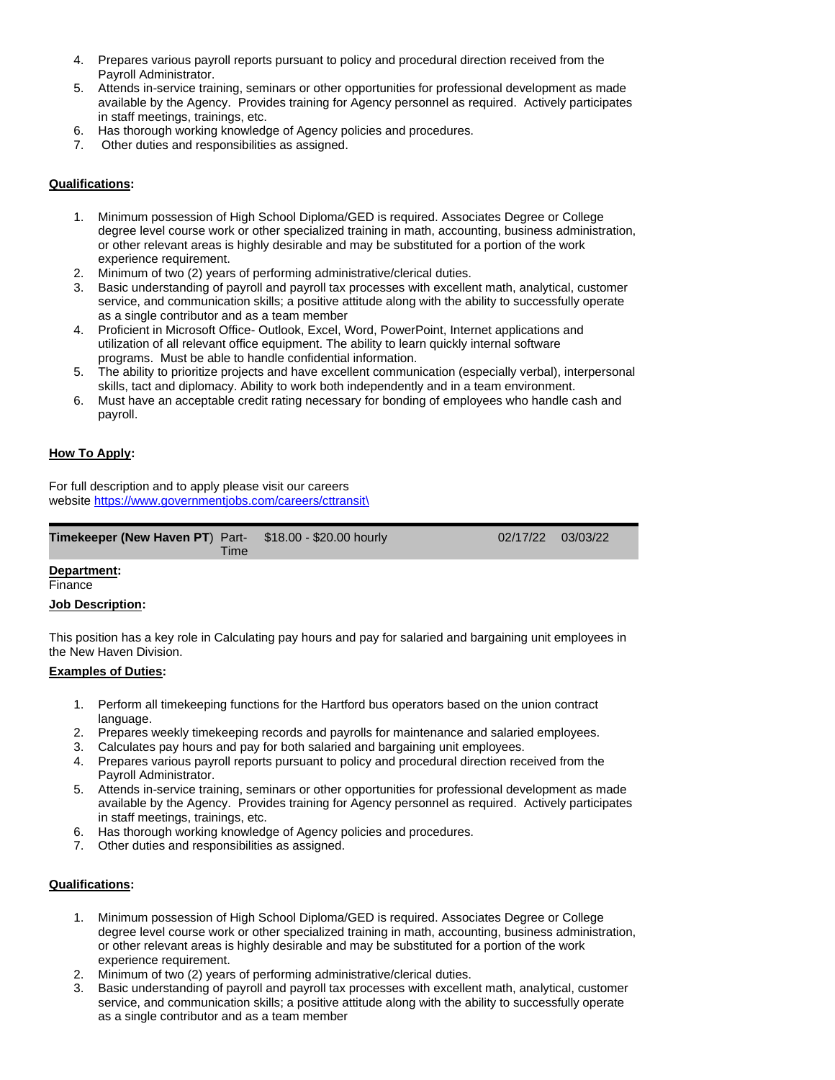- 4. Prepares various payroll reports pursuant to policy and procedural direction received from the Payroll Administrator.
- 5. Attends in-service training, seminars or other opportunities for professional development as made available by the Agency. Provides training for Agency personnel as required. Actively participates in staff meetings, trainings, etc.
- 6. Has thorough working knowledge of Agency policies and procedures.
- 7. Other duties and responsibilities as assigned.

# **Qualifications:**

- 1. Minimum possession of High School Diploma/GED is required. Associates Degree or College degree level course work or other specialized training in math, accounting, business administration, or other relevant areas is highly desirable and may be substituted for a portion of the work experience requirement.
- 2. Minimum of two (2) years of performing administrative/clerical duties.
- 3. Basic understanding of payroll and payroll tax processes with excellent math, analytical, customer service, and communication skills; a positive attitude along with the ability to successfully operate as a single contributor and as a team member
- 4. Proficient in Microsoft Office- Outlook, Excel, Word, PowerPoint, Internet applications and utilization of all relevant office equipment. The ability to learn quickly internal software programs. Must be able to handle confidential information.
- 5. The ability to prioritize projects and have excellent communication (especially verbal), interpersonal skills, tact and diplomacy. Ability to work both independently and in a team environment.

03/03/22

6. Must have an acceptable credit rating necessary for bonding of employees who handle cash and payroll.

# **How To Apply:**

For full description and to apply please visit our careers website [https://www.governmentjobs.com/careers/cttransit\](https://www.governmentjobs.com/careers/cttransit/)

| <b>Timekeeper (New Haven PT)</b> Part- $$18.00 - $20.00$ hourly<br>Time | 02/17/22 |
|-------------------------------------------------------------------------|----------|
|                                                                         |          |

## **Department:**

Finance

## **Job Description:**

This position has a key role in Calculating pay hours and pay for salaried and bargaining unit employees in the New Haven Division.

# **Examples of Duties:**

- 1. Perform all timekeeping functions for the Hartford bus operators based on the union contract language.
- 2. Prepares weekly timekeeping records and payrolls for maintenance and salaried employees.
- 3. Calculates pay hours and pay for both salaried and bargaining unit employees.
- 4. Prepares various payroll reports pursuant to policy and procedural direction received from the Payroll Administrator.
- 5. Attends in-service training, seminars or other opportunities for professional development as made available by the Agency. Provides training for Agency personnel as required. Actively participates in staff meetings, trainings, etc.
- 6. Has thorough working knowledge of Agency policies and procedures.
- 7. Other duties and responsibilities as assigned.

# **Qualifications:**

- 1. Minimum possession of High School Diploma/GED is required. Associates Degree or College degree level course work or other specialized training in math, accounting, business administration, or other relevant areas is highly desirable and may be substituted for a portion of the work experience requirement.
- 2. Minimum of two (2) years of performing administrative/clerical duties.
- 3. Basic understanding of payroll and payroll tax processes with excellent math, analytical, customer service, and communication skills; a positive attitude along with the ability to successfully operate as a single contributor and as a team member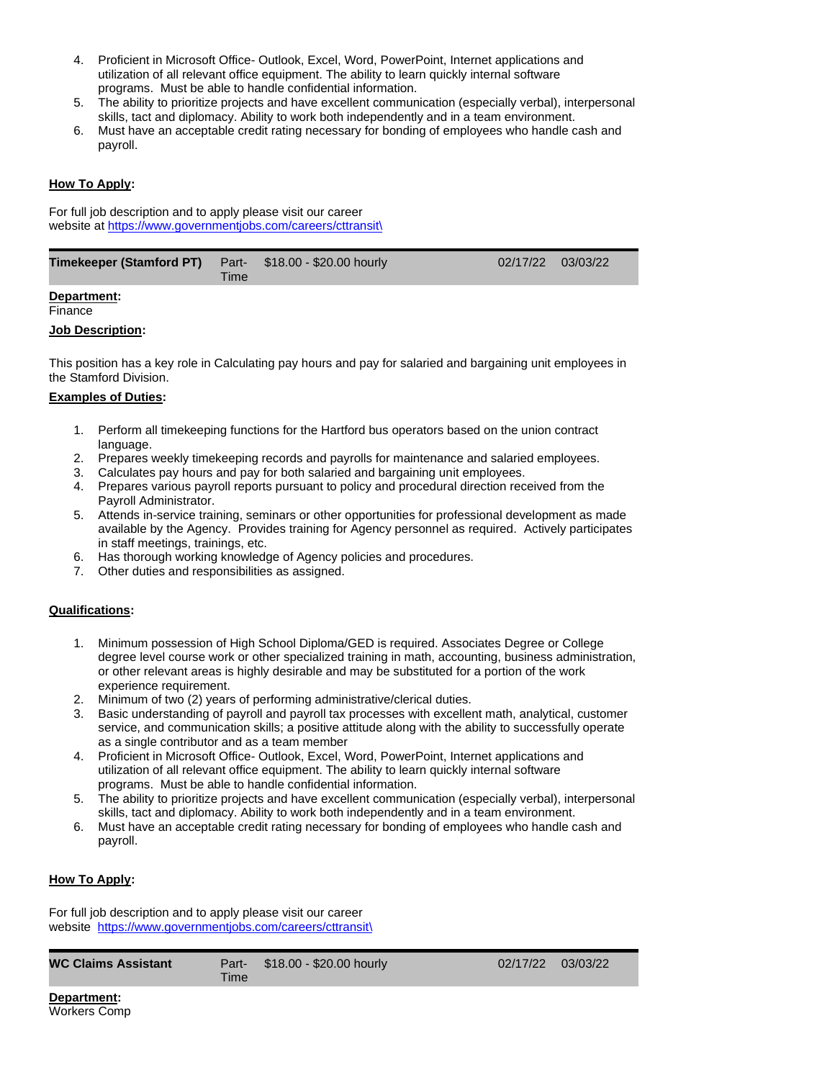- 4. Proficient in Microsoft Office- Outlook, Excel, Word, PowerPoint, Internet applications and utilization of all relevant office equipment. The ability to learn quickly internal software programs. Must be able to handle confidential information.
- 5. The ability to prioritize projects and have excellent communication (especially verbal), interpersonal skills, tact and diplomacy. Ability to work both independently and in a team environment.
- 6. Must have an acceptable credit rating necessary for bonding of employees who handle cash and payroll.

# **How To Apply:**

For full job description and to apply please visit our career website at [https://www.governmentjobs.com/careers/cttransit\](https://www.governmentjobs.com/careers/cttransit/)

| <b>Timekeeper (Stamford PT)</b> Part- \$18.00 - \$20.00 hourly | Time | 02/17/22 03/03/22 |  |
|----------------------------------------------------------------|------|-------------------|--|
|                                                                |      |                   |  |

# **Department:**

#### Finance

## **Job Description:**

This position has a key role in Calculating pay hours and pay for salaried and bargaining unit employees in the Stamford Division.

## **Examples of Duties:**

- 1. Perform all timekeeping functions for the Hartford bus operators based on the union contract language.
- 2. Prepares weekly timekeeping records and payrolls for maintenance and salaried employees.
- 3. Calculates pay hours and pay for both salaried and bargaining unit employees.
- 4. Prepares various payroll reports pursuant to policy and procedural direction received from the Payroll Administrator.
- 5. Attends in-service training, seminars or other opportunities for professional development as made available by the Agency. Provides training for Agency personnel as required. Actively participates in staff meetings, trainings, etc.
- 6. Has thorough working knowledge of Agency policies and procedures.
- 7. Other duties and responsibilities as assigned.

## **Qualifications:**

- 1. Minimum possession of High School Diploma/GED is required. Associates Degree or College degree level course work or other specialized training in math, accounting, business administration, or other relevant areas is highly desirable and may be substituted for a portion of the work experience requirement.
- 2. Minimum of two (2) years of performing administrative/clerical duties.
- 3. Basic understanding of payroll and payroll tax processes with excellent math, analytical, customer service, and communication skills; a positive attitude along with the ability to successfully operate as a single contributor and as a team member
- 4. Proficient in Microsoft Office- Outlook, Excel, Word, PowerPoint, Internet applications and utilization of all relevant office equipment. The ability to learn quickly internal software programs. Must be able to handle confidential information.
- 5. The ability to prioritize projects and have excellent communication (especially verbal), interpersonal skills, tact and diplomacy. Ability to work both independently and in a team environment.
- 6. Must have an acceptable credit rating necessary for bonding of employees who handle cash and payroll.

## **How To Apply:**

For full job description and to apply please visit our career website [https://www.governmentjobs.com/careers/cttransit\](https://www.governmentjobs.com/careers/cttransit/)

| <b>WC Claims Assistant</b> | <b>Time</b> | Part- \$18.00 - \$20.00 hourly | 02/17/22 03/03/22 |  |
|----------------------------|-------------|--------------------------------|-------------------|--|
|                            |             |                                |                   |  |

**Department:** Workers Comp